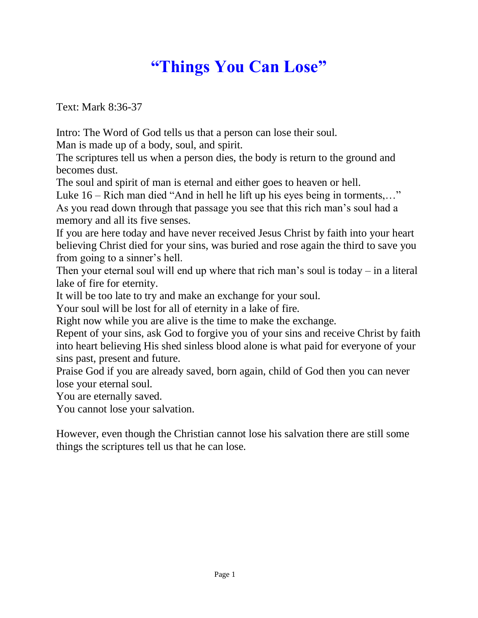## **"Things You Can Lose"**

Text: Mark 8:36-37

Intro: The Word of God tells us that a person can lose their soul.

Man is made up of a body, soul, and spirit.

The scriptures tell us when a person dies, the body is return to the ground and becomes dust.

The soul and spirit of man is eternal and either goes to heaven or hell.

Luke 16 – Rich man died "And in hell he lift up his eyes being in torments,…" As you read down through that passage you see that this rich man's soul had a memory and all its five senses.

If you are here today and have never received Jesus Christ by faith into your heart believing Christ died for your sins, was buried and rose again the third to save you from going to a sinner's hell.

Then your eternal soul will end up where that rich man's soul is today – in a literal lake of fire for eternity.

It will be too late to try and make an exchange for your soul.

Your soul will be lost for all of eternity in a lake of fire.

Right now while you are alive is the time to make the exchange.

Repent of your sins, ask God to forgive you of your sins and receive Christ by faith into heart believing His shed sinless blood alone is what paid for everyone of your sins past, present and future.

Praise God if you are already saved, born again, child of God then you can never lose your eternal soul.

You are eternally saved.

You cannot lose your salvation.

However, even though the Christian cannot lose his salvation there are still some things the scriptures tell us that he can lose.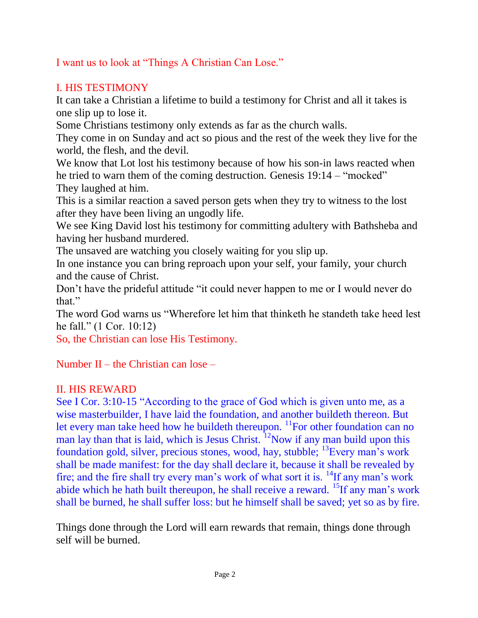I want us to look at "Things A Christian Can Lose."

## I. HIS TESTIMONY

It can take a Christian a lifetime to build a testimony for Christ and all it takes is one slip up to lose it.

Some Christians testimony only extends as far as the church walls.

They come in on Sunday and act so pious and the rest of the week they live for the world, the flesh, and the devil.

We know that Lot lost his testimony because of how his son-in laws reacted when he tried to warn them of the coming destruction. Genesis 19:14 – "mocked" They laughed at him.

This is a similar reaction a saved person gets when they try to witness to the lost after they have been living an ungodly life.

We see King David lost his testimony for committing adultery with Bathsheba and having her husband murdered.

The unsaved are watching you closely waiting for you slip up.

In one instance you can bring reproach upon your self, your family, your church and the cause of Christ.

Don't have the prideful attitude "it could never happen to me or I would never do that."

The word God warns us "Wherefore let him that thinketh he standeth take heed lest he fall." (1 Cor. 10:12)

So, the Christian can lose His Testimony.

Number II – the Christian can lose –

## II. HIS REWARD

See I Cor. 3:10-15 "According to the grace of God which is given unto me, as a wise masterbuilder, I have laid the foundation, and another buildeth thereon. But let every man take heed how he buildeth thereupon.  $^{11}$ For other foundation can no man lay than that is laid, which is Jesus Christ.  $12$ Now if any man build upon this foundation gold, silver, precious stones, wood, hay, stubble; <sup>13</sup>Every man's work shall be made manifest: for the day shall declare it, because it shall be revealed by fire; and the fire shall try every man's work of what sort it is.  $\frac{14}{1}$ If any man's work abide which he hath built thereupon, he shall receive a reward. <sup>15</sup>If any man's work shall be burned, he shall suffer loss: but he himself shall be saved; yet so as by fire.

Things done through the Lord will earn rewards that remain, things done through self will be burned.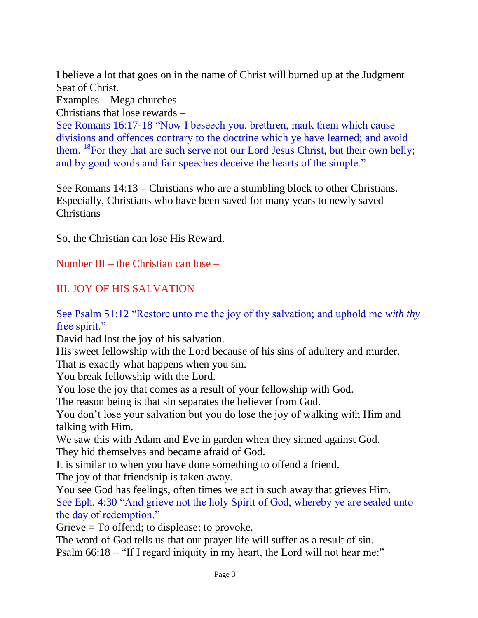I believe a lot that goes on in the name of Christ will burned up at the Judgment Seat of Christ.

Examples – Mega churches

Christians that lose rewards –

See Romans 16:17-18 "Now I beseech you, brethren, mark them which cause divisions and offences contrary to the doctrine which ye have learned; and avoid them. <sup>18</sup>For they that are such serve not our Lord Jesus Christ, but their own belly; and by good words and fair speeches deceive the hearts of the simple."

See Romans 14:13 – Christians who are a stumbling block to other Christians. Especially, Christians who have been saved for many years to newly saved **Christians** 

So, the Christian can lose His Reward.

Number III – the Christian can lose –

## III. JOY OF HIS SALVATION

See Psalm 51:12 "Restore unto me the joy of thy salvation; and uphold me *with thy* free spirit."

David had lost the joy of his salvation.

His sweet fellowship with the Lord because of his sins of adultery and murder.

That is exactly what happens when you sin.

You break fellowship with the Lord.

You lose the joy that comes as a result of your fellowship with God.

The reason being is that sin separates the believer from God.

You don't lose your salvation but you do lose the joy of walking with Him and talking with Him.

We saw this with Adam and Eve in garden when they sinned against God. They hid themselves and became afraid of God.

It is similar to when you have done something to offend a friend.

The joy of that friendship is taken away.

You see God has feelings, often times we act in such away that grieves Him. See Eph. 4:30 "And grieve not the holy Spirit of God, whereby ye are sealed unto the day of redemption."

Grieve = To offend; to displease; to provoke.

The word of God tells us that our prayer life will suffer as a result of sin. Psalm 66:18 – "If I regard iniquity in my heart, the Lord will not hear me:"